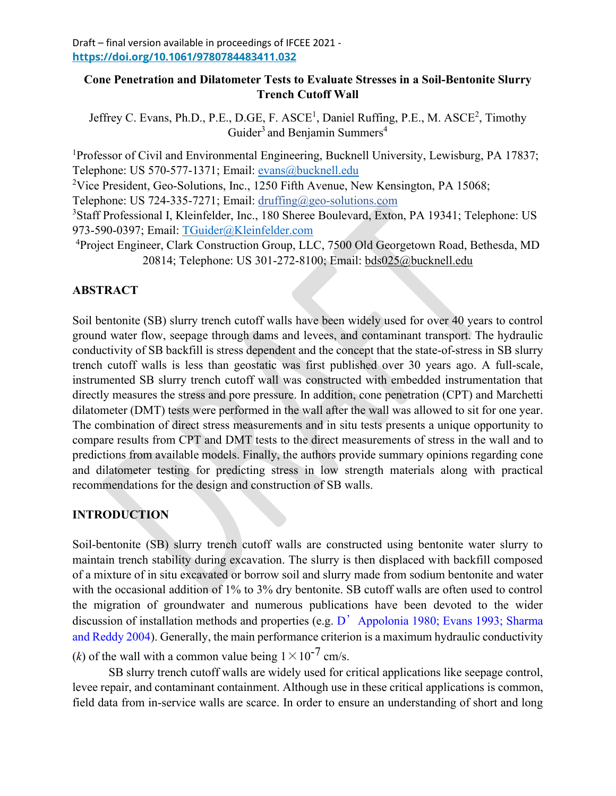### **Cone Penetration and Dilatometer Tests to Evaluate Stresses in a Soil-Bentonite Slurry Trench Cutoff Wall**

Jeffrey C. Evans, Ph.D., P.E., D.GE, F.  $ASCE<sup>1</sup>$ , Daniel Ruffing, P.E., M.  $ASCE<sup>2</sup>$ , Timothy Guider<sup>3</sup> and Benjamin Summers<sup>4</sup>

<sup>1</sup>Professor of Civil and Environmental Engineering, Bucknell University, Lewisburg, PA 17837; Telephone: US 570-577-1371; Email: [evans@bucknell.edu](mailto:evans@bucknell.edu)

<sup>2</sup>Vice President, Geo-Solutions, Inc., 1250 Fifth Avenue, New Kensington, PA 15068;

Telephone: US 724-335-7271; Email: druffing@geo-solutions.com

<sup>3</sup>Staff Professional I, Kleinfelder, Inc., 180 Sheree Boulevard, Exton, PA 19341; Telephone: US 973-590-0397; Email: TGuider@Kleinfelder.com

<sup>4</sup>Project Engineer, Clark Construction Group, LLC, 7500 Old Georgetown Road, Bethesda, MD 20814; Telephone: US 301-272-8100; Email: bds025@bucknell.edu

# **ABSTRACT**

Soil bentonite (SB) slurry trench cutoff walls have been widely used for over 40 years to control ground water flow, seepage through dams and levees, and contaminant transport. The hydraulic conductivity of SB backfill is stress dependent and the concept that the state-of-stress in SB slurry trench cutoff walls is less than geostatic was first published over 30 years ago. A full-scale, instrumented SB slurry trench cutoff wall was constructed with embedded instrumentation that directly measures the stress and pore pressure. In addition, cone penetration (CPT) and Marchetti dilatometer (DMT) tests were performed in the wall after the wall was allowed to sit for one year. The combination of direct stress measurements and in situ tests presents a unique opportunity to compare results from CPT and DMT tests to the direct measurements of stress in the wall and to predictions from available models. Finally, the authors provide summary opinions regarding cone and dilatometer testing for predicting stress in low strength materials along with practical recommendations for the design and construction of SB walls.

# **INTRODUCTION**

Soil-bentonite (SB) slurry trench cutoff walls are constructed using bentonite water slurry to maintain trench stability during excavation. The slurry is then displaced with backfill composed of a mixture of in situ excavated or borrow soil and slurry made from sodium bentonite and water with the occasional addition of 1% to 3% dry bentonite. SB cutoff walls are often used to control the migration of groundwater and numerous publications have been devoted to the wider discussion of installation methods and properties (e.g. D<sup>'</sup> Appolonia 1980; Evans 1993; Sharma and Reddy 2004). Generally, the main performance criterion is a maximum hydraulic conductivity (*k*) of the wall with a common value being  $1 \times 10^{-7}$  cm/s.

SB slurry trench cutoff walls are widely used for critical applications like seepage control, levee repair, and contaminant containment. Although use in these critical applications is common, field data from in-service walls are scarce. In order to ensure an understanding of short and long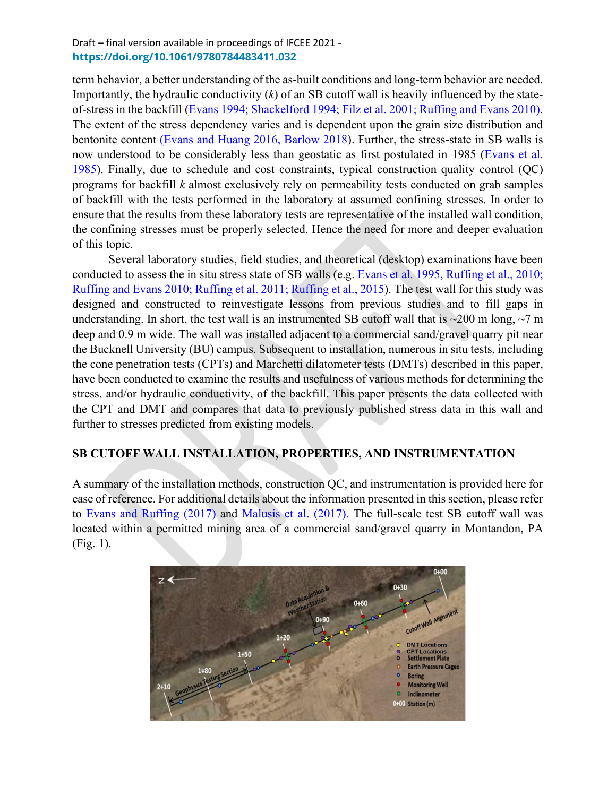term behavior, a better understanding of the as-built conditions and long-term behavior are needed. Importantly, the hydraulic conductivity (*k*) of an SB cutoff wall is heavily influenced by the stateof-stress in the backfill (Evans 1994; Shackelford 1994; Filz et al. 2001; Ruffing and Evans 2010). The extent of the stress dependency varies and is dependent upon the grain size distribution and bentonite content (Evans and Huang 2016, Barlow 2018). Further, the stress-state in SB walls is now understood to be considerably less than geostatic as first postulated in 1985 (Evans et al. 1985). Finally, due to schedule and cost constraints, typical construction quality control (QC) programs for backfill *k* almost exclusively rely on permeability tests conducted on grab samples of backfill with the tests performed in the laboratory at assumed confining stresses. In order to ensure that the results from these laboratory tests are representative of the installed wall condition, the confining stresses must be properly selected. Hence the need for more and deeper evaluation of this topic.

Several laboratory studies, field studies, and theoretical (desktop) examinations have been conducted to assess the in situ stress state of SB walls (e.g. Evans et al. 1995, Ruffing et al., 2010; Ruffing and Evans 2010; Ruffing et al. 2011; Ruffing et al., 2015). The test wall for this study was designed and constructed to reinvestigate lessons from previous studies and to fill gaps in understanding. In short, the test wall is an instrumented SB cutoff wall that is  $\sim$ 200 m long,  $\sim$ 7 m deep and 0.9 m wide. The wall was installed adjacent to a commercial sand/gravel quarry pit near the Bucknell University (BU) campus. Subsequent to installation, numerous in situ tests, including the cone penetration tests (CPTs) and Marchetti dilatometer tests (DMTs) described in this paper, have been conducted to examine the results and usefulness of various methods for determining the stress, and/or hydraulic conductivity, of the backfill. This paper presents the data collected with the CPT and DMT and compares that data to previously published stress data in this wall and further to stresses predicted from existing models.

### **SB CUTOFF WALL INSTALLATION, PROPERTIES, AND INSTRUMENTATION**

A summary of the installation methods, construction QC, and instrumentation is provided here for ease of reference. For additional details about the information presented in this section, please refer to Evans and Ruffing (2017) and Malusis et al. (2017). The full-scale test SB cutoff wall was located within a permitted mining area of a commercial sand/gravel quarry in Montandon, PA (Fig. 1).

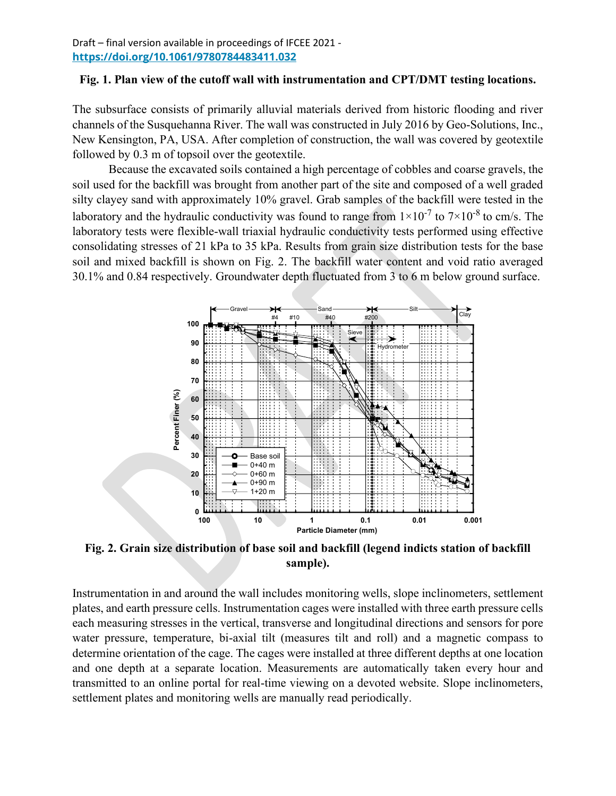Draft – final version available in proceedings of IFCEE 2021 - **Backfill Properties <https://doi.org/10.1061/9780784483411.032>** *Index Properties*

### Fig. 1. Plan view of the cutoff wall with instrumentation and CPT/DMT testing locations.

The subsurface consists of primarily alluvial materials derived from historic flooding and river channels of the Susquehanna River. The wall was constructed in July 2016 by Geo-Solutions, Inc., New Kensington, PA, USA. After completion of construction, the wall was covered by geotextile followed by  $0.3$  m of topsoil over the geotextile.

Because the excavated soils contained a high percentage of cobbles and coarse gravels, the soil used for the backfill was brought from another part of the site and composed of a well graded silty clayey sand with approximately 10% gravel. Grab samples of the backfill were tested in the laboratory and the hydraulic conductivity was found to range from  $1 \times 10^{-7}$  to  $7 \times 10^{-8}$  to cm/s. The laboratory tests were flexible-wall triaxial hydraulic conductivity tests performed using effective consolidating stresses of 21 kPa to 35 kPa. Results from grain size distribution tests for the base soil and mixed backfill is shown on Fig. 2. The backfill water content and void ratio averaged 30.1% and 0.84 respectively. Groundwater depth fluctuated from 3 to 6 m below ground surface. either SC-SM or CL-ML based on the Unified Soil Classification System (ASTM D2487).



Fig. 2. Grain size distribution of base soil and backfill (legend indicts station of backfill **construction. constructions were the stations where the stations where the backfill samples were collected.** 

Instrumentation in and around the wall includes monitoring wells, slope inclinometers, settlement plates, and earth pressure cells. Instrumentation cages were installed with three earth pressure cells each measuring stresses in the vertical, transverse and longitudinal directions and sensors for pore water pressure, temperature, bi-axial tilt (measures tilt and roll) and a magnetic compass to determine orientation of the cage. The cages were installed at three different depths at one location and one depth at a separate location. Measurements are automatically taken every hour and transmitted to an online portal for real-time viewing on a devoted website. Slope inclinometers, settlement plates and monitoring wells are manually read periodically.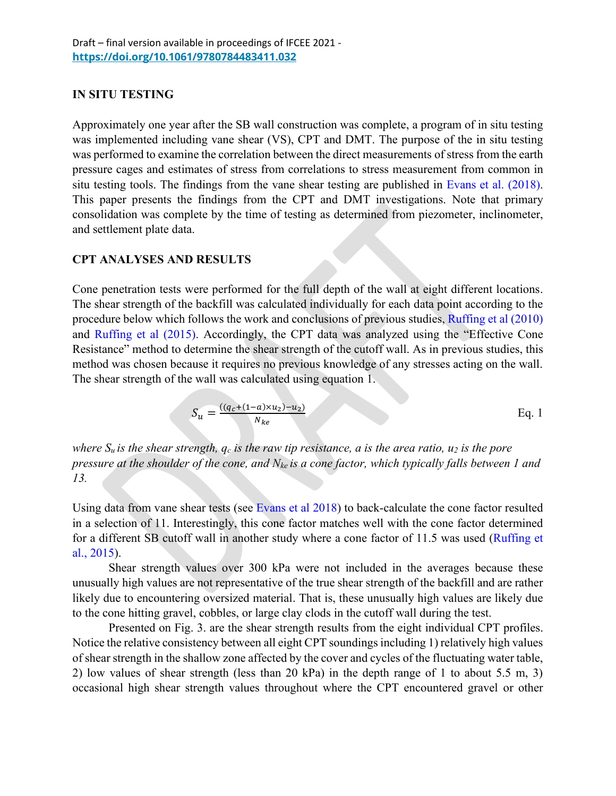# **IN SITU TESTING**

Approximately one year after the SB wall construction was complete, a program of in situ testing was implemented including vane shear (VS), CPT and DMT. The purpose of the in situ testing was performed to examine the correlation between the direct measurements of stress from the earth pressure cages and estimates of stress from correlations to stress measurement from common in situ testing tools. The findings from the vane shear testing are published in Evans et al. (2018). This paper presents the findings from the CPT and DMT investigations. Note that primary consolidation was complete by the time of testing as determined from piezometer, inclinometer, and settlement plate data.

### **CPT ANALYSES AND RESULTS**

Cone penetration tests were performed for the full depth of the wall at eight different locations. The shear strength of the backfill was calculated individually for each data point according to the procedure below which follows the work and conclusions of previous studies, Ruffing et al (2010) and Ruffing et al (2015). Accordingly, the CPT data was analyzed using the "Effective Cone Resistance" method to determine the shear strength of the cutoff wall. As in previous studies, this method was chosen because it requires no previous knowledge of any stresses acting on the wall. The shear strength of the wall was calculated using equation 1.

$$
S_u = \frac{((q_c + (1 - a) \times u_2) - u_2)}{N_{ke}}
$$
 Eq. 1

*where*  $S_u$  *is the shear strength,*  $q_c$  *<i>is the raw tip resistance, a is the area ratio, u<sub>2</sub> <i>is the pore pressure at the shoulder of the cone, and Nke is a cone factor, which typically falls between 1 and 13.*

Using data from vane shear tests (see Evans et al 2018) to back-calculate the cone factor resulted in a selection of 11. Interestingly, this cone factor matches well with the cone factor determined for a different SB cutoff wall in another study where a cone factor of 11.5 was used (Ruffing et al., 2015).

Shear strength values over 300 kPa were not included in the averages because these unusually high values are not representative of the true shear strength of the backfill and are rather likely due to encountering oversized material. That is, these unusually high values are likely due to the cone hitting gravel, cobbles, or large clay clods in the cutoff wall during the test.

Presented on Fig. 3. are the shear strength results from the eight individual CPT profiles. Notice the relative consistency between all eight CPT soundings including 1) relatively high values of shear strength in the shallow zone affected by the cover and cycles of the fluctuating water table, 2) low values of shear strength (less than 20 kPa) in the depth range of 1 to about 5.5 m, 3) occasional high shear strength values throughout where the CPT encountered gravel or other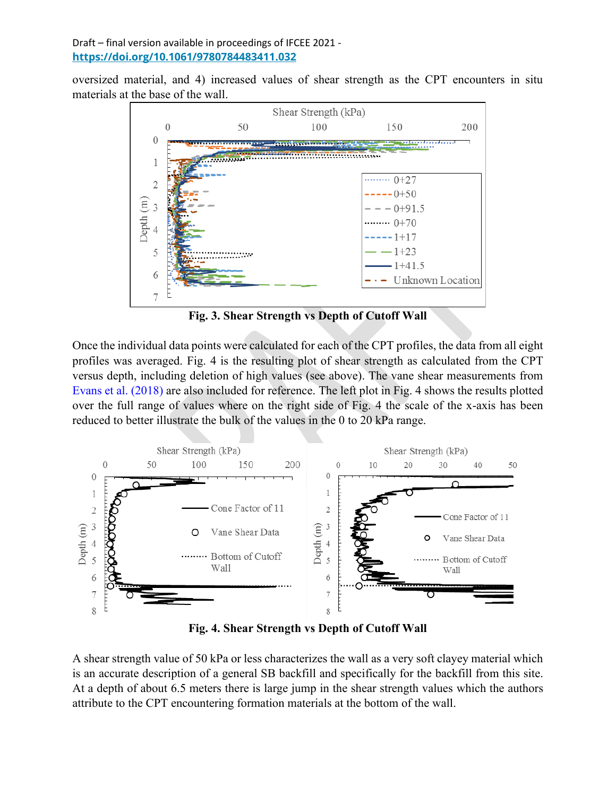oversized material, and 4) increased values of shear strength as the CPT encounters in situ materials at the base of the wall.



**Fig. 3. Shear Strength vs Depth of Cutoff Wall**

Once the individual data points were calculated for each of the CPT profiles, the data from all eight profiles was averaged. Fig. 4 is the resulting plot of shear strength as calculated from the CPT versus depth, including deletion of high values (see above). The vane shear measurements from Evans et al. (2018) are also included for reference. The left plot in Fig. 4 shows the results plotted over the full range of values where on the right side of Fig. 4 the scale of the x-axis has been reduced to better illustrate the bulk of the values in the 0 to 20 kPa range.



**Fig. 4. Shear Strength vs Depth of Cutoff Wall**

A shear strength value of 50 kPa or less characterizes the wall as a very soft clayey material which is an accurate description of a general SB backfill and specifically for the backfill from this site. At a depth of about 6.5 meters there is large jump in the shear strength values which the authors attribute to the CPT encountering formation materials at the bottom of the wall.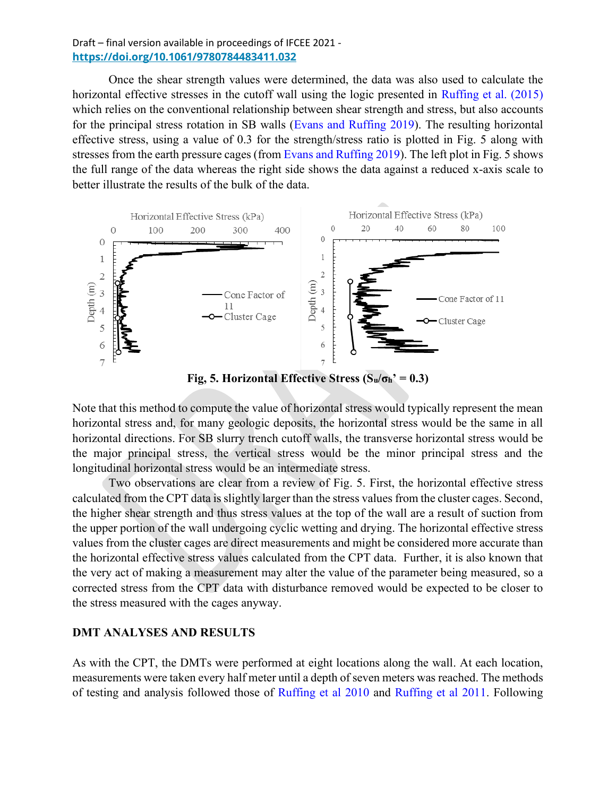Once the shear strength values were determined, the data was also used to calculate the horizontal effective stresses in the cutoff wall using the logic presented in Ruffing et al. (2015) which relies on the conventional relationship between shear strength and stress, but also accounts for the principal stress rotation in SB walls (Evans and Ruffing 2019). The resulting horizontal effective stress, using a value of 0.3 for the strength/stress ratio is plotted in Fig. 5 along with stresses from the earth pressure cages (from Evans and Ruffing 2019). The left plot in Fig. 5 shows the full range of the data whereas the right side shows the data against a reduced x-axis scale to better illustrate the results of the bulk of the data.



**Fig, 5. Horizontal Effective Stress (** $S_u/\sigma_h$ **<sup>** $\sim$ **</sup> = 0.3)** 

Note that this method to compute the value of horizontal stress would typically represent the mean horizontal stress and, for many geologic deposits, the horizontal stress would be the same in all horizontal directions. For SB slurry trench cutoff walls, the transverse horizontal stress would be the major principal stress, the vertical stress would be the minor principal stress and the longitudinal horizontal stress would be an intermediate stress.

Two observations are clear from a review of Fig. 5. First, the horizontal effective stress calculated from the CPT data is slightly larger than the stress values from the cluster cages. Second, the higher shear strength and thus stress values at the top of the wall are a result of suction from the upper portion of the wall undergoing cyclic wetting and drying. The horizontal effective stress values from the cluster cages are direct measurements and might be considered more accurate than the horizontal effective stress values calculated from the CPT data. Further, it is also known that the very act of making a measurement may alter the value of the parameter being measured, so a corrected stress from the CPT data with disturbance removed would be expected to be closer to the stress measured with the cages anyway.

#### **DMT ANALYSES AND RESULTS**

As with the CPT, the DMTs were performed at eight locations along the wall. At each location, measurements were taken every half meter until a depth of seven meters was reached. The methods of testing and analysis followed those of Ruffing et al 2010 and Ruffing et al 2011. Following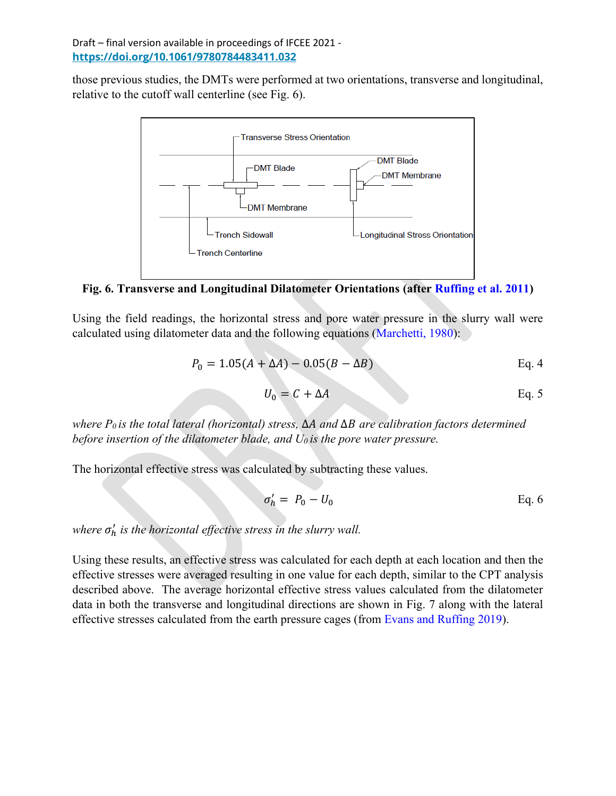those previous studies, the DMTs were performed at two orientations, transverse and longitudinal, relative to the cutoff wall centerline (see Fig. 6).



**Fig. 6. Transverse and Longitudinal Dilatometer Orientations (after Ruffing et al. 2011)**

Using the field readings, the horizontal stress and pore water pressure in the slurry wall were calculated using dilatometer data and the following equations (Marchetti, 1980):

$$
P_0 = 1.05(A + \Delta A) - 0.05(B - \Delta B)
$$
 Eq. 4

$$
U_0 = C + \Delta A \qquad \qquad \text{Eq. 5}
$$

*where P0 is the total lateral (horizontal) stress,* ∆ *and* ∆ *are calibration factors determined before insertion of the dilatometer blade, and U0 is the pore water pressure.* 

The horizontal effective stress was calculated by subtracting these values.

$$
\sigma'_h = P_0 - U_0 \tag{Eq. 6}
$$

*where*  $σ'_{h}$  *is the horizontal effective stress in the slurry wall.* 

Using these results, an effective stress was calculated for each depth at each location and then the effective stresses were averaged resulting in one value for each depth, similar to the CPT analysis described above. The average horizontal effective stress values calculated from the dilatometer data in both the transverse and longitudinal directions are shown in Fig. 7 along with the lateral effective stresses calculated from the earth pressure cages (from Evans and Ruffing 2019).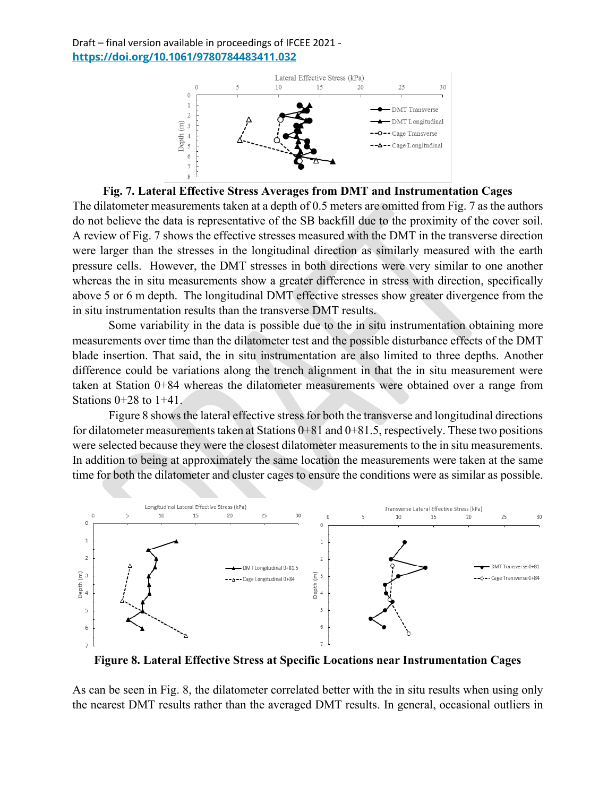

**Fig. 7. Lateral Effective Stress Averages from DMT and Instrumentation Cages**

The dilatometer measurements taken at a depth of 0.5 meters are omitted from Fig. 7 as the authors do not believe the data is representative of the SB backfill due to the proximity of the cover soil. A review of Fig. 7 shows the effective stresses measured with the DMT in the transverse direction were larger than the stresses in the longitudinal direction as similarly measured with the earth pressure cells. However, the DMT stresses in both directions were very similar to one another whereas the in situ measurements show a greater difference in stress with direction, specifically above 5 or 6 m depth. The longitudinal DMT effective stresses show greater divergence from the in situ instrumentation results than the transverse DMT results.

Some variability in the data is possible due to the in situ instrumentation obtaining more measurements over time than the dilatometer test and the possible disturbance effects of the DMT blade insertion. That said, the in situ instrumentation are also limited to three depths. Another difference could be variations along the trench alignment in that the in situ measurement were taken at Station 0+84 whereas the dilatometer measurements were obtained over a range from Stations  $0+28$  to  $1+41$ .

Figure 8 shows the lateral effective stress for both the transverse and longitudinal directions for dilatometer measurements taken at Stations  $0+81$  and  $0+81.5$ , respectively. These two positions were selected because they were the closest dilatometer measurements to the in situ measurements. In addition to being at approximately the same location the measurements were taken at the same time for both the dilatometer and cluster cages to ensure the conditions were as similar as possible.



**Figure 8. Lateral Effective Stress at Specific Locations near Instrumentation Cages**

As can be seen in Fig. 8, the dilatometer correlated better with the in situ results when using only the nearest DMT results rather than the averaged DMT results. In general, occasional outliers in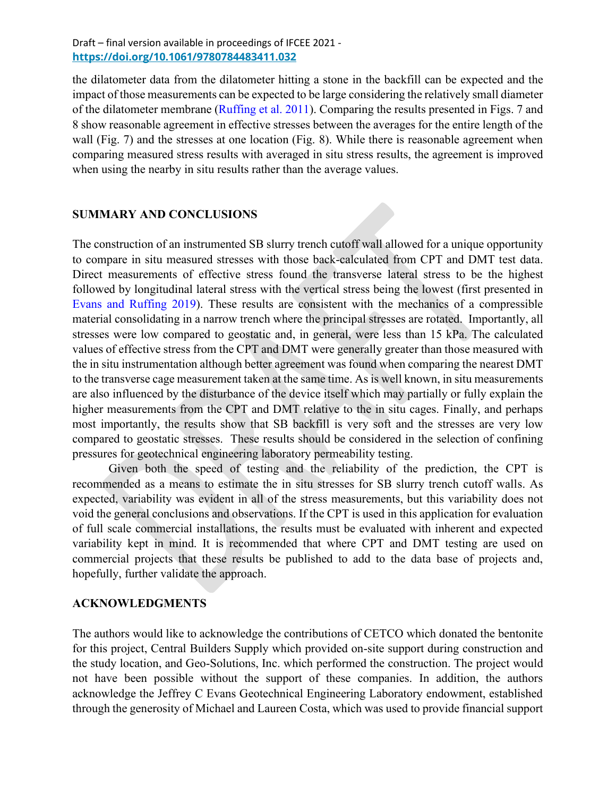the dilatometer data from the dilatometer hitting a stone in the backfill can be expected and the impact of those measurements can be expected to be large considering the relatively small diameter of the dilatometer membrane (Ruffing et al. 2011). Comparing the results presented in Figs. 7 and 8 show reasonable agreement in effective stresses between the averages for the entire length of the wall (Fig. 7) and the stresses at one location (Fig. 8). While there is reasonable agreement when comparing measured stress results with averaged in situ stress results, the agreement is improved when using the nearby in situ results rather than the average values.

#### **SUMMARY AND CONCLUSIONS**

The construction of an instrumented SB slurry trench cutoff wall allowed for a unique opportunity to compare in situ measured stresses with those back-calculated from CPT and DMT test data. Direct measurements of effective stress found the transverse lateral stress to be the highest followed by longitudinal lateral stress with the vertical stress being the lowest (first presented in Evans and Ruffing 2019). These results are consistent with the mechanics of a compressible material consolidating in a narrow trench where the principal stresses are rotated. Importantly, all stresses were low compared to geostatic and, in general, were less than 15 kPa. The calculated values of effective stress from the CPT and DMT were generally greater than those measured with the in situ instrumentation although better agreement was found when comparing the nearest DMT to the transverse cage measurement taken at the same time. As is well known, in situ measurements are also influenced by the disturbance of the device itself which may partially or fully explain the higher measurements from the CPT and DMT relative to the in situ cages. Finally, and perhaps most importantly, the results show that SB backfill is very soft and the stresses are very low compared to geostatic stresses. These results should be considered in the selection of confining pressures for geotechnical engineering laboratory permeability testing.

Given both the speed of testing and the reliability of the prediction, the CPT is recommended as a means to estimate the in situ stresses for SB slurry trench cutoff walls. As expected, variability was evident in all of the stress measurements, but this variability does not void the general conclusions and observations. If the CPT is used in this application for evaluation of full scale commercial installations, the results must be evaluated with inherent and expected variability kept in mind. It is recommended that where CPT and DMT testing are used on commercial projects that these results be published to add to the data base of projects and, hopefully, further validate the approach.

#### **ACKNOWLEDGMENTS**

The authors would like to acknowledge the contributions of CETCO which donated the bentonite for this project, Central Builders Supply which provided on-site support during construction and the study location, and Geo-Solutions, Inc. which performed the construction. The project would not have been possible without the support of these companies. In addition, the authors acknowledge the Jeffrey C Evans Geotechnical Engineering Laboratory endowment, established through the generosity of Michael and Laureen Costa, which was used to provide financial support